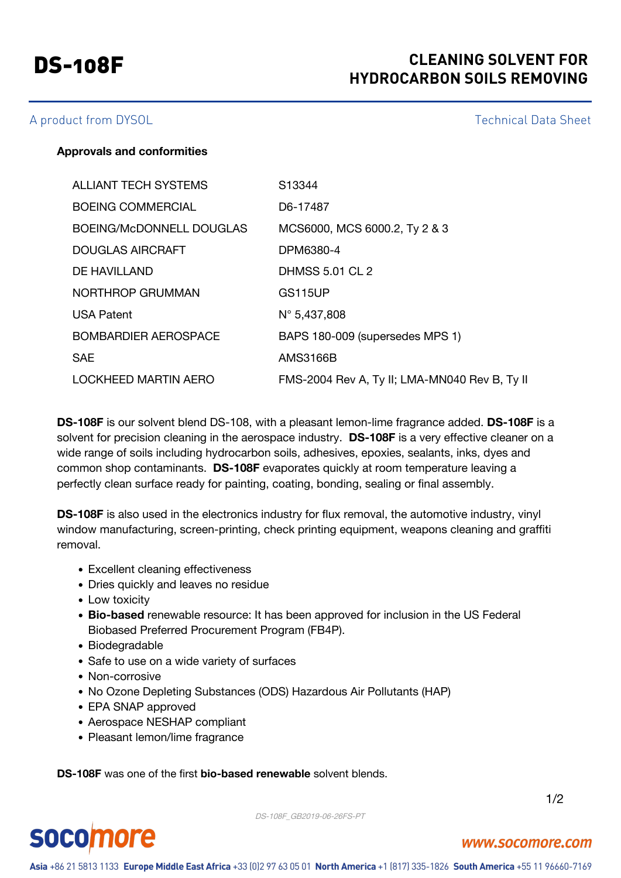# DS-108F **CLEANING SOLVENT FOR HYDROCARBON SOILS REMOVING**

### A product from DYSOL **Technical Data Sheet**

#### **Approvals and conformities**

| <b>ALLIANT TECH SYSTEMS</b> | S <sub>13344</sub>                            |
|-----------------------------|-----------------------------------------------|
| <b>BOEING COMMERCIAL</b>    | D6-17487                                      |
| BOEING/McDONNELL DOUGLAS    | MCS6000, MCS 6000.2, Ty 2 & 3                 |
| DOUGLAS AIRCRAFT            | DPM6380-4                                     |
| DE HAVILLAND                | <b>DHMSS 5.01 CL 2</b>                        |
| NORTHROP GRUMMAN            | <b>GS115UP</b>                                |
| <b>USA Patent</b>           | $N^{\circ}$ 5,437,808                         |
| <b>BOMBARDIER AEROSPACE</b> | BAPS 180-009 (supersedes MPS 1)               |
| <b>SAE</b>                  | <b>AMS3166B</b>                               |
| <b>LOCKHEED MARTIN AERO</b> | FMS-2004 Rev A, Ty II; LMA-MN040 Rev B, Ty II |

**DS-108F** is our solvent blend DS-108, with a pleasant lemon-lime fragrance added. **DS-108F** is a solvent for precision cleaning in the aerospace industry. **DS-108F** is a very effective cleaner on a wide range of soils including hydrocarbon soils, adhesives, epoxies, sealants, inks, dyes and common shop contaminants. **DS-108F** evaporates quickly at room temperature leaving a perfectly clean surface ready for painting, coating, bonding, sealing or final assembly.

**DS-108F** is also used in the electronics industry for flux removal, the automotive industry, vinyl window manufacturing, screen-printing, check printing equipment, weapons cleaning and graffiti removal.

- Excellent cleaning effectiveness
- Dries quickly and leaves no residue
- Low toxicity
- **Bio-based** renewable resource: It has been approved for inclusion in the US Federal Biobased Preferred Procurement Program (FB4P).
- Biodegradable
- Safe to use on a wide variety of surfaces
- Non-corrosive
- No Ozone Depleting Substances (ODS) Hazardous Air Pollutants (HAP)
- EPA SNAP approved
- Aerospace NESHAP compliant
- Pleasant lemon/lime fragrance

**DS-108F** was one of the first **bio-based renewable** solvent blends.

1/2

# **socomore**

DS-108F\_GB2019-06-26FS-PT

#### www.socomore.com